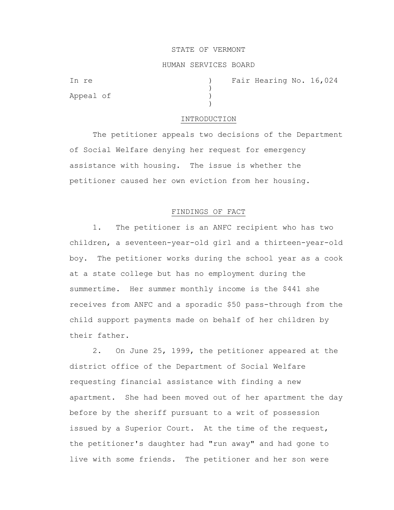#### STATE OF VERMONT

### HUMAN SERVICES BOARD

)

)

Appeal of )

In re  $(16, 024)$  Fair Hearing No. 16,024

#### INTRODUCTION

The petitioner appeals two decisions of the Department of Social Welfare denying her request for emergency assistance with housing. The issue is whether the petitioner caused her own eviction from her housing.

## FINDINGS OF FACT

1. The petitioner is an ANFC recipient who has two children, a seventeen-year-old girl and a thirteen-year-old boy. The petitioner works during the school year as a cook at a state college but has no employment during the summertime. Her summer monthly income is the \$441 she receives from ANFC and a sporadic \$50 pass-through from the child support payments made on behalf of her children by their father.

2. On June 25, 1999, the petitioner appeared at the district office of the Department of Social Welfare requesting financial assistance with finding a new apartment. She had been moved out of her apartment the day before by the sheriff pursuant to a writ of possession issued by a Superior Court. At the time of the request, the petitioner's daughter had "run away" and had gone to live with some friends. The petitioner and her son were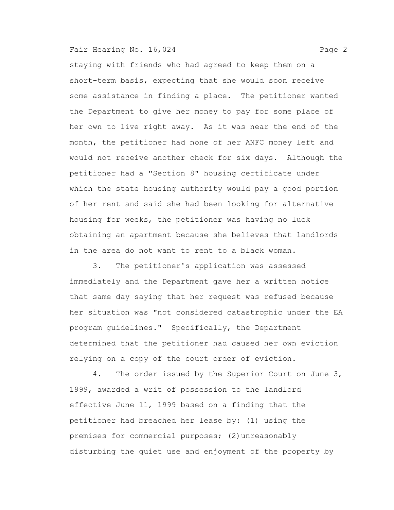staying with friends who had agreed to keep them on a short-term basis, expecting that she would soon receive some assistance in finding a place. The petitioner wanted the Department to give her money to pay for some place of her own to live right away. As it was near the end of the month, the petitioner had none of her ANFC money left and would not receive another check for six days. Although the petitioner had a "Section 8" housing certificate under which the state housing authority would pay a good portion of her rent and said she had been looking for alternative housing for weeks, the petitioner was having no luck obtaining an apartment because she believes that landlords in the area do not want to rent to a black woman.

3. The petitioner's application was assessed immediately and the Department gave her a written notice that same day saying that her request was refused because her situation was "not considered catastrophic under the EA program guidelines." Specifically, the Department determined that the petitioner had caused her own eviction relying on a copy of the court order of eviction.

4. The order issued by the Superior Court on June 3, 1999, awarded a writ of possession to the landlord effective June 11, 1999 based on a finding that the petitioner had breached her lease by: (1) using the premises for commercial purposes; (2)unreasonably disturbing the quiet use and enjoyment of the property by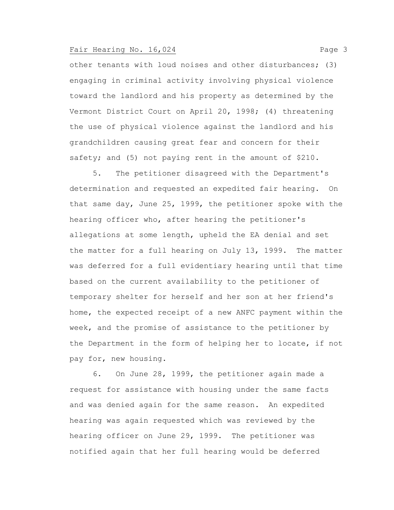other tenants with loud noises and other disturbances; (3) engaging in criminal activity involving physical violence toward the landlord and his property as determined by the Vermont District Court on April 20, 1998; (4) threatening the use of physical violence against the landlord and his grandchildren causing great fear and concern for their safety; and (5) not paying rent in the amount of \$210.

5. The petitioner disagreed with the Department's determination and requested an expedited fair hearing. On that same day, June 25, 1999, the petitioner spoke with the hearing officer who, after hearing the petitioner's allegations at some length, upheld the EA denial and set the matter for a full hearing on July 13, 1999. The matter was deferred for a full evidentiary hearing until that time based on the current availability to the petitioner of temporary shelter for herself and her son at her friend's home, the expected receipt of a new ANFC payment within the week, and the promise of assistance to the petitioner by the Department in the form of helping her to locate, if not pay for, new housing.

6. On June 28, 1999, the petitioner again made a request for assistance with housing under the same facts and was denied again for the same reason. An expedited hearing was again requested which was reviewed by the hearing officer on June 29, 1999. The petitioner was notified again that her full hearing would be deferred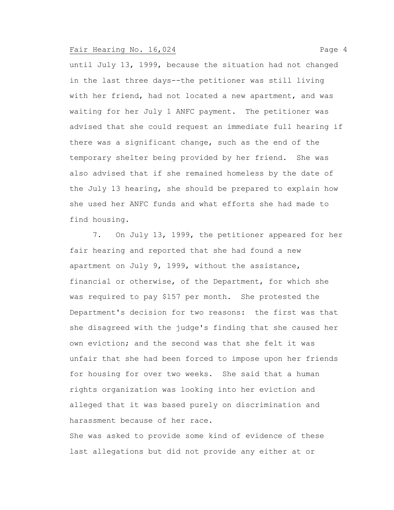until July 13, 1999, because the situation had not changed in the last three days--the petitioner was still living with her friend, had not located a new apartment, and was waiting for her July 1 ANFC payment. The petitioner was advised that she could request an immediate full hearing if there was a significant change, such as the end of the temporary shelter being provided by her friend. She was also advised that if she remained homeless by the date of the July 13 hearing, she should be prepared to explain how she used her ANFC funds and what efforts she had made to find housing.

7. On July 13, 1999, the petitioner appeared for her fair hearing and reported that she had found a new apartment on July 9, 1999, without the assistance, financial or otherwise, of the Department, for which she was required to pay \$157 per month. She protested the Department's decision for two reasons: the first was that she disagreed with the judge's finding that she caused her own eviction; and the second was that she felt it was unfair that she had been forced to impose upon her friends for housing for over two weeks. She said that a human rights organization was looking into her eviction and alleged that it was based purely on discrimination and harassment because of her race.

She was asked to provide some kind of evidence of these last allegations but did not provide any either at or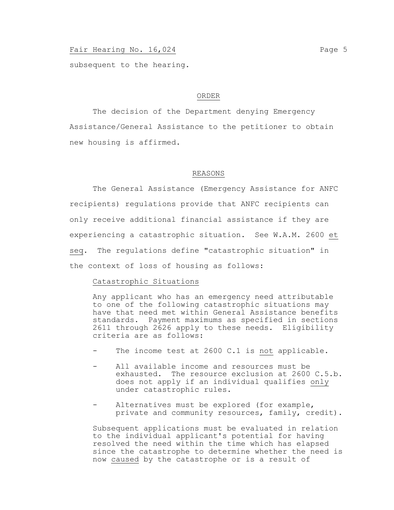subsequent to the hearing.

#### ORDER

The decision of the Department denying Emergency Assistance/General Assistance to the petitioner to obtain new housing is affirmed.

### REASONS

The General Assistance (Emergency Assistance for ANFC recipients) regulations provide that ANFC recipients can only receive additional financial assistance if they are experiencing a catastrophic situation. See W.A.M. 2600 et seq. The regulations define "catastrophic situation" in the context of loss of housing as follows:

## Catastrophic Situations

Any applicant who has an emergency need attributable to one of the following catastrophic situations may have that need met within General Assistance benefits standards. Payment maximums as specified in sections 2611 through 2626 apply to these needs. Eligibility criteria are as follows:

- The income test at 2600 C.1 is not applicable.
- All available income and resources must be exhausted. The resource exclusion at 2600 C.5.b. does not apply if an individual qualifies only under catastrophic rules.
- Alternatives must be explored (for example, private and community resources, family, credit).

Subsequent applications must be evaluated in relation to the individual applicant's potential for having resolved the need within the time which has elapsed since the catastrophe to determine whether the need is now caused by the catastrophe or is a result of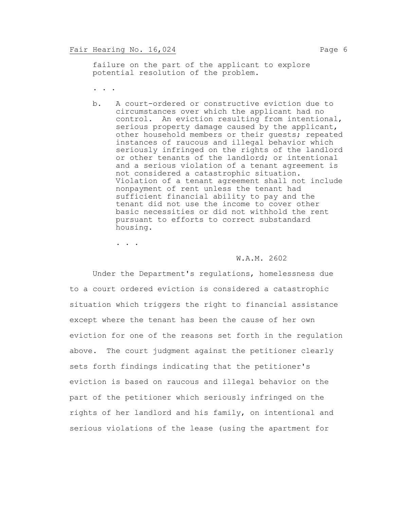failure on the part of the applicant to explore potential resolution of the problem.

- . . .
- b. A court-ordered or constructive eviction due to circumstances over which the applicant had no control. An eviction resulting from intentional, serious property damage caused by the applicant, other household members or their guests; repeated instances of raucous and illegal behavior which seriously infringed on the rights of the landlord or other tenants of the landlord; or intentional and a serious violation of a tenant agreement is not considered a catastrophic situation. Violation of a tenant agreement shall not include nonpayment of rent unless the tenant had sufficient financial ability to pay and the tenant did not use the income to cover other basic necessities or did not withhold the rent pursuant to efforts to correct substandard housing.

. . .

#### W.A.M. 2602

Under the Department's regulations, homelessness due to a court ordered eviction is considered a catastrophic situation which triggers the right to financial assistance except where the tenant has been the cause of her own eviction for one of the reasons set forth in the regulation above. The court judgment against the petitioner clearly sets forth findings indicating that the petitioner's eviction is based on raucous and illegal behavior on the part of the petitioner which seriously infringed on the rights of her landlord and his family, on intentional and serious violations of the lease (using the apartment for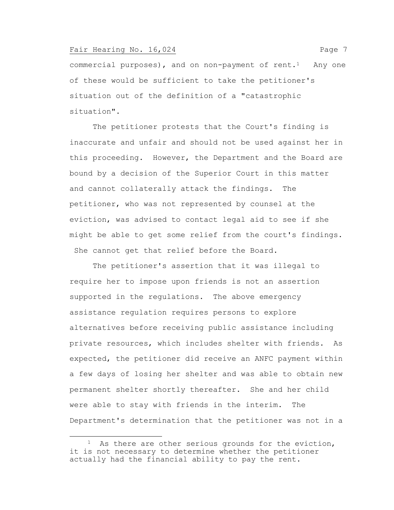commercial purposes), and on non-payment of rent.<sup>1</sup> Any one of these would be sufficient to take the petitioner's situation out of the definition of a "catastrophic situation".

The petitioner protests that the Court's finding is inaccurate and unfair and should not be used against her in this proceeding. However, the Department and the Board are bound by a decision of the Superior Court in this matter and cannot collaterally attack the findings. The petitioner, who was not represented by counsel at the eviction, was advised to contact legal aid to see if she might be able to get some relief from the court's findings. She cannot get that relief before the Board.

The petitioner's assertion that it was illegal to require her to impose upon friends is not an assertion supported in the regulations. The above emergency assistance regulation requires persons to explore alternatives before receiving public assistance including private resources, which includes shelter with friends. As expected, the petitioner did receive an ANFC payment within a few days of losing her shelter and was able to obtain new permanent shelter shortly thereafter. She and her child were able to stay with friends in the interim. The Department's determination that the petitioner was not in a

<sup>&</sup>lt;sup>1</sup> As there are other serious grounds for the eviction, it is not necessary to determine whether the petitioner actually had the financial ability to pay the rent.